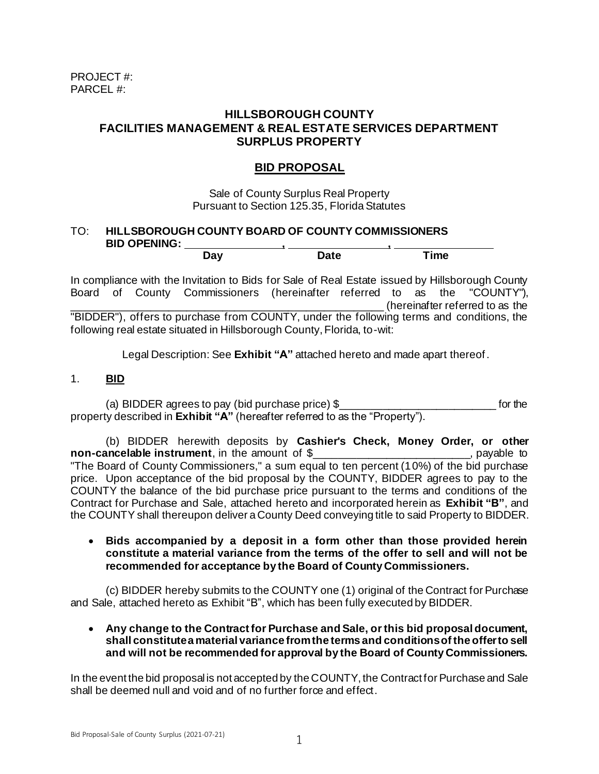# **HILLSBOROUGH COUNTY FACILITIES MANAGEMENT & REAL ESTATE SERVICES DEPARTMENT SURPLUS PROPERTY**

# **BID PROPOSAL**

Sale of County Surplus Real Property Pursuant to Section 125.35, Florida Statutes

#### TO: **HILLSBOROUGH COUNTY BOARD OF COUNTY COMMISSIONERS** BID OPENING: <u>Day</u> BID OPENING: **Day Date Time**

In compliance with the Invitation to Bids for Sale of Real Estate issued by Hillsborough County Board of County Commissioners (hereinafter referred to as the "COUNTY"), \_\_\_\_\_\_\_\_\_\_\_\_\_\_\_\_\_\_\_\_\_\_\_\_\_\_\_\_\_\_\_\_\_\_\_\_\_\_\_\_\_\_\_\_\_\_\_\_\_\_\_\_ (hereinafter referred to as the "BIDDER"), offers to purchase from COUNTY, under the following terms and conditions, the following real estate situated in Hillsborough County, Florida, to-wit:

Legal Description: See **Exhibit "A"** attached hereto and made apart thereof.

# 1. **BID**

(a) BIDDER agrees to pay (bid purchase price) \$ \_\_\_\_\_\_\_\_\_\_\_\_\_\_\_\_\_\_\_\_\_\_\_\_\_\_\_\_\_\_\_\_ for the property described in **Exhibit "A"** (hereafter referred to as the "Property").

(b) BIDDER herewith deposits by **Cashier's Check, Money Order, or other non-cancelable instrument**, in the amount of \$\_\_\_\_\_\_\_\_\_\_\_\_\_\_\_\_\_\_\_\_\_\_\_\_\_\_, payable to "The Board of County Commissioners," a sum equal to ten percent (10%) of the bid purchase price. Upon acceptance of the bid proposal by the COUNTY, BIDDER agrees to pay to the COUNTY the balance of the bid purchase price pursuant to the terms and conditions of the Contract for Purchase and Sale, attached hereto and incorporated herein as **Exhibit "B"**, and the COUNTY shall thereupon deliver a County Deed conveying title to said Property to BIDDER.

#### • **Bids accompanied by a deposit in a form other than those provided herein constitute a material variance from the terms of the offer to sell and will not be recommended for acceptance by the Board of County Commissioners.**

(c) BIDDER hereby submits to the COUNTY one (1) original of the Contract for Purchase and Sale, attached hereto as Exhibit "B", which has been fully executed by BIDDER.

#### • **Any change to the Contract for Purchase and Sale, or this bid proposal document, shall constitute a material variance from the terms and conditions of the offer to sell and will not be recommended for approval by the Board of County Commissioners.**

In the event the bid proposal is not accepted by the COUNTY, the Contract for Purchase and Sale shall be deemed null and void and of no further force and effect.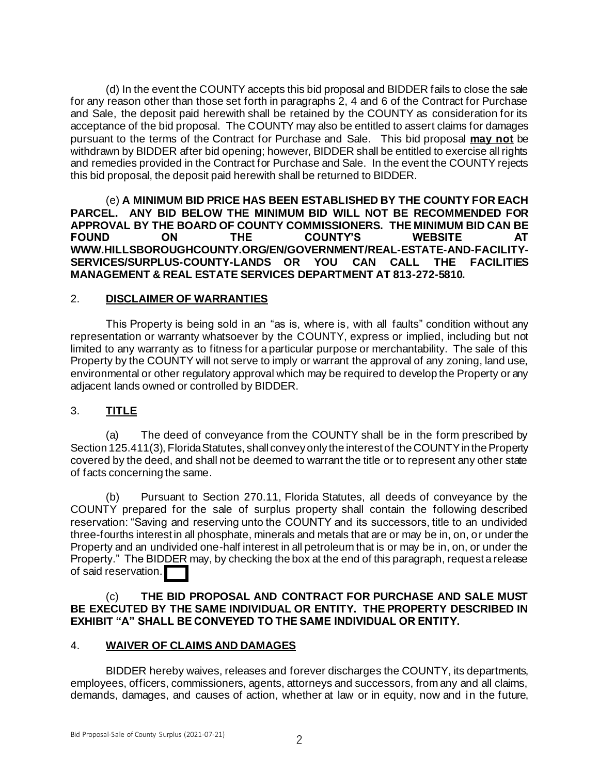(d) In the event the COUNTY accepts this bid proposal and BIDDER fails to close the sale for any reason other than those set forth in paragraphs 2, 4 and 6 of the Contract for Purchase and Sale, the deposit paid herewith shall be retained by the COUNTY as consideration for its acceptance of the bid proposal. The COUNTY may also be entitled to assert claims for damages pursuant to the terms of the Contract for Purchase and Sale. This bid proposal **may not** be withdrawn by BIDDER after bid opening; however, BIDDER shall be entitled to exercise all rights and remedies provided in the Contract for Purchase and Sale. In the event the COUNTY rejects this bid proposal, the deposit paid herewith shall be returned to BIDDER.

(e) **A MINIMUM BID PRICE HAS BEEN ESTABLISHED BY THE COUNTY FOR EACH PARCEL. ANY BID BELOW THE MINIMUM BID WILL NOT BE RECOMMENDED FOR APPROVAL BY THE BOARD OF COUNTY COMMISSIONERS. THE MINIMUM BID CAN BE FOUND ON THE COUNTY'S WEBSITE AT WWW.HILLSBOROUGHCOUNTY.ORG/EN/GOVERNMENT/REAL-ESTATE-AND-FACILITY-SERVICES/SURPLUS-COUNTY-LANDS OR YOU CAN CALL THE FACILITIES MANAGEMENT & REAL ESTATE SERVICES DEPARTMENT AT 813-272-5810.**

# 2. **DISCLAIMER OF WARRANTIES**

This Property is being sold in an "as is, where is, with all faults" condition without any representation or warranty whatsoever by the COUNTY, express or implied, including but not limited to any warranty as to fitness for a particular purpose or merchantability. The sale of this Property by the COUNTY will not serve to imply or warrant the approval of any zoning, land use, environmental or other regulatory approval which may be required to develop the Property or any adjacent lands owned or controlled by BIDDER.

# 3. **TITLE**

(a) The deed of conveyance from the COUNTY shall be in the form prescribed by Section 125.411(3), Florida Statutes, shall convey only the interest of the COUNTY in the Property covered by the deed, and shall not be deemed to warrant the title or to represent any other state of facts concerning the same.

(b) Pursuant to Section 270.11, Florida Statutes, all deeds of conveyance by the COUNTY prepared for the sale of surplus property shall contain the following described reservation: "Saving and reserving unto the COUNTY and its successors, title to an undivided three-fourths interest in all phosphate, minerals and metals that are or may be in, on, or under the Property and an undivided one-half interest in all petroleum that is or may be in, on, or under the Property." The BIDDER may, by checking the box at the end of this paragraph, request a release of said reservation.

#### (c) **THE BID PROPOSAL AND CONTRACT FOR PURCHASE AND SALE MUST BE EXECUTED BY THE SAME INDIVIDUAL OR ENTITY. THE PROPERTY DESCRIBED IN EXHIBIT "A" SHALL BE CONVEYED TO THE SAME INDIVIDUAL OR ENTITY.**

#### 4. **WAIVER OF CLAIMS AND DAMAGES**

BIDDER hereby waives, releases and forever discharges the COUNTY, its departments, employees, officers, commissioners, agents, attorneys and successors, from any and all claims, demands, damages, and causes of action, whether at law or in equity, now and in the future,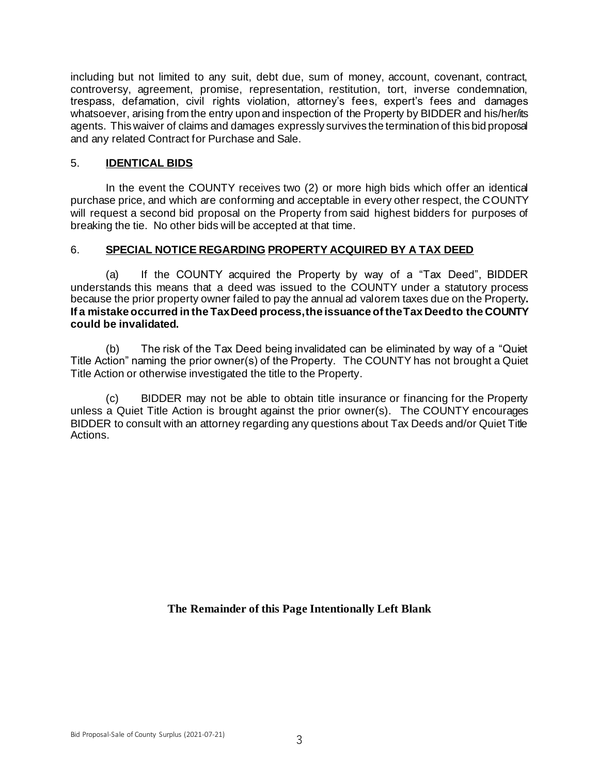including but not limited to any suit, debt due, sum of money, account, covenant, contract, controversy, agreement, promise, representation, restitution, tort, inverse condemnation, trespass, defamation, civil rights violation, attorney's fees, expert's fees and damages whatsoever, arising from the entry upon and inspection of the Property by BIDDER and his/her/its agents. This waiver of claims and damages expressly survives the termination of this bid proposal and any related Contract for Purchase and Sale.

# 5. **IDENTICAL BIDS**

In the event the COUNTY receives two (2) or more high bids which offer an identical purchase price, and which are conforming and acceptable in every other respect, the COUNTY will request a second bid proposal on the Property from said highest bidders for purposes of breaking the tie. No other bids will be accepted at that time.

# 6. **SPECIAL NOTICE REGARDING PROPERTY ACQUIRED BY A TAX DEED**

(a) If the COUNTY acquired the Property by way of a "Tax Deed", BIDDER understands this means that a deed was issued to the COUNTY under a statutory process because the prior property owner failed to pay the annual ad valorem taxes due on the Property**. If a mistake occurred in the Tax Deed process, the issuance of the Tax Deed to the COUNTY could be invalidated.** 

(b) The risk of the Tax Deed being invalidated can be eliminated by way of a "Quiet Title Action" naming the prior owner(s) of the Property. The COUNTY has not brought a Quiet Title Action or otherwise investigated the title to the Property.

(c) BIDDER may not be able to obtain title insurance or financing for the Property unless a Quiet Title Action is brought against the prior owner(s). The COUNTY encourages BIDDER to consult with an attorney regarding any questions about Tax Deeds and/or Quiet Title Actions.

**The Remainder of this Page Intentionally Left Blank**